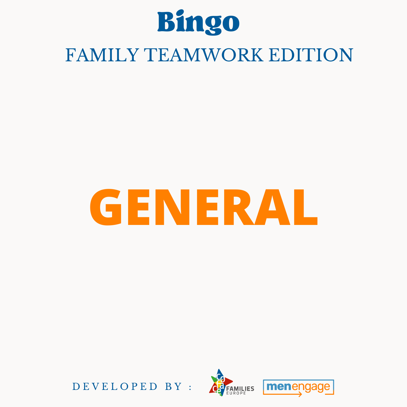

# **GENERAL**



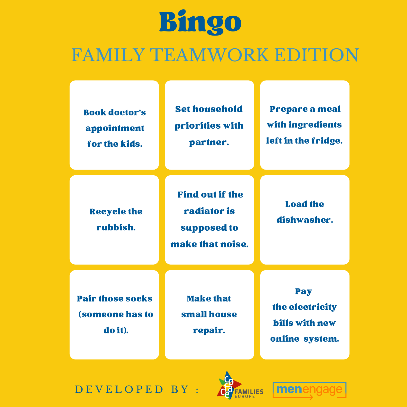### FAMILY TEAMWORK EDITION

| <b>Book doctor's</b><br>appointment<br>for the kids.         | <b>Set household</b><br>priorities with<br>partner.                      | <b>Prepare a meal</b><br>with ingredients<br>left in the fridge.  |
|--------------------------------------------------------------|--------------------------------------------------------------------------|-------------------------------------------------------------------|
| <b>Recycle the</b><br>rubbish.                               | <b>Find out if the</b><br>radiator is<br>supposed to<br>make that noise. | <b>Load the</b><br>dishwasher.                                    |
| <b>Pair those socks</b><br><b>(someone has to</b><br>do it). | <b>Make that</b><br>small house<br>repair.                               | Pay<br>the electricity<br><b>bills with new</b><br>online system. |

DEVELOPED BY :



men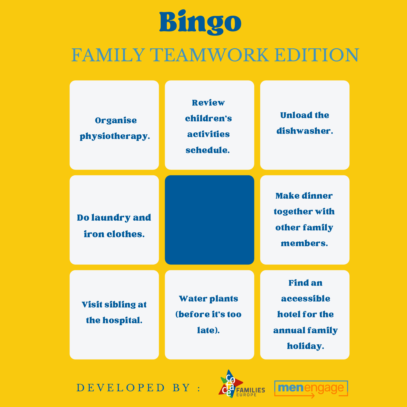### FAMILY TEAMWORK EDITION



D E V E L O P E D B Y :



men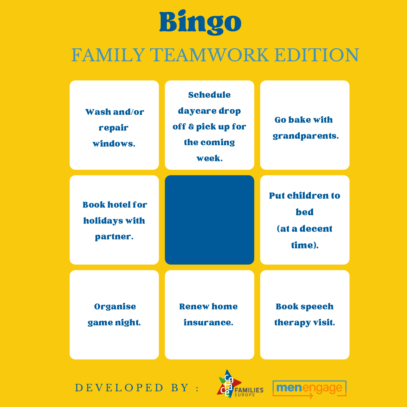### FAMILY TEAMWORK EDITION

| <b>Wash and/or</b><br>repair<br>windows.           | <b>Schedule</b><br>daycare drop<br>off & pick up for<br>the coming<br>week. | <b>Go bake with</b><br>grandparents.                    |
|----------------------------------------------------|-----------------------------------------------------------------------------|---------------------------------------------------------|
| <b>Book hotel for</b><br>holidays with<br>partner. |                                                                             | <b>Put children to</b><br>bed<br>lat a decent<br>time). |
| <b>Organise</b><br>game night.                     | <b>Renew home</b><br>insurance.                                             | <b>Book speech</b><br>therapy visit.                    |



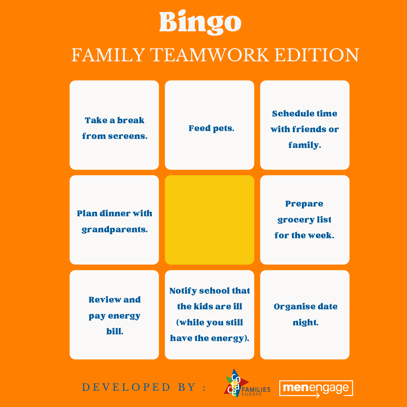### FAMILY TEAMWORK EDITION





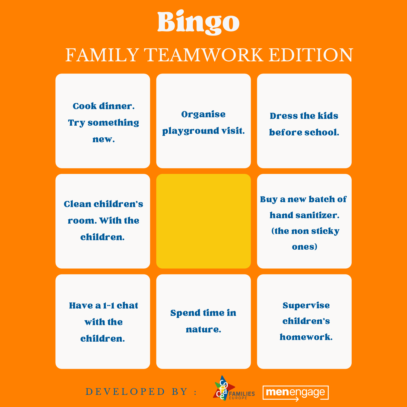#### FAMILY TEAMWORK EDITION



D EV E L O P E D B Y :



menengage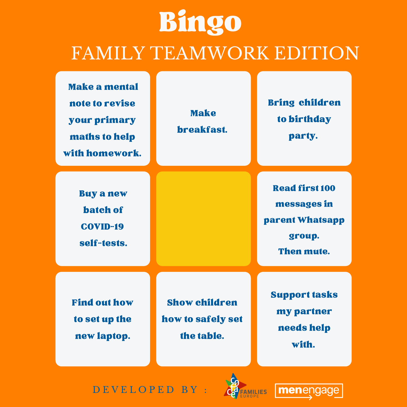#### FAMILY TEAMWORK EDITION



#### DEVELOPED BY :



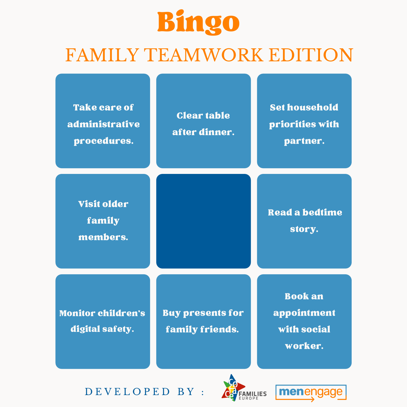#### FAMILY TEAMWORK EDITION

| <b>Take care of</b><br>administrative<br>procedures. | <b>Clear table</b><br>after dinner.        | <b>Set household</b><br>priorities with<br>partner.     |
|------------------------------------------------------|--------------------------------------------|---------------------------------------------------------|
| <b>Visit older</b><br>family<br>members.             |                                            | <b>Read a bedtime</b><br>story.                         |
| <b>Monitor children's</b><br>digital safety.         | <b>Buy presents for</b><br>family friends. | <b>Book an</b><br>appointment<br>with social<br>worker. |



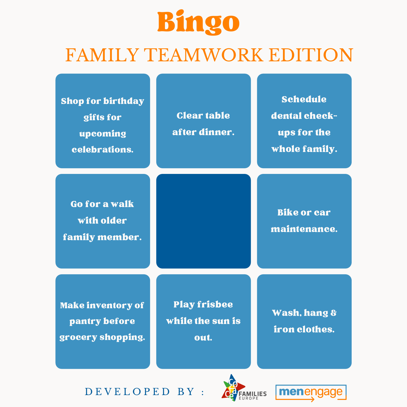### FAMILY TEAMWORK EDITION

| <b>Shop for birthday</b><br>gifts for<br>upcoming<br>celebrations. | <b>Clear table</b><br>after dinner.             | Schedule<br>dental check-<br>ups for the<br>whole family. |
|--------------------------------------------------------------------|-------------------------------------------------|-----------------------------------------------------------|
| Go for a walk<br>with older<br>family member.                      |                                                 | <b>Bike or car</b><br>maintenance.                        |
| <b>Make inventory of</b><br>pantry before<br>grocery shopping.     | <b>Play frishee</b><br>while the sun is<br>out. | <b>Wash, hang &amp;</b><br>iron clothes.                  |
|                                                                    |                                                 |                                                           |

D E V E L O P E D B Y :



menengage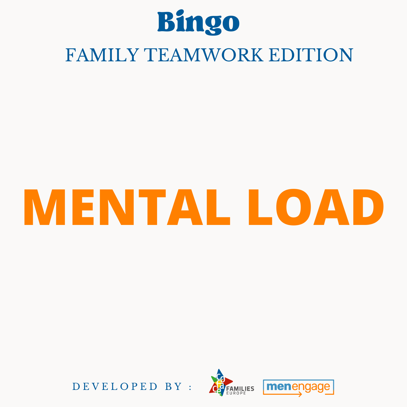

# **MENTAL LOAD**



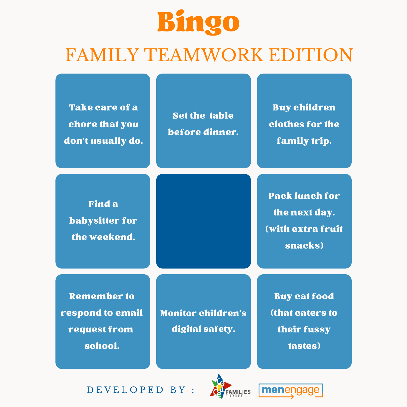#### FAMILY TEAMWORK EDITION

| <b>Take care of a</b><br>chore that you<br>don't usually do.      | <b>Set the table</b><br>before dinner.       | <b>Buy children</b><br>clothes for the<br>family trip.                  |
|-------------------------------------------------------------------|----------------------------------------------|-------------------------------------------------------------------------|
| <b>Find a</b><br><b>babysitter for</b><br>the weekend.            |                                              | <b>Pack lunch for</b><br>the next day.<br>(with extra fruit<br>snacks)  |
| <b>Remember to</b><br>respond to email<br>request from<br>school. | <b>Monitor children's</b><br>digital safety. | <b>Buy cat food</b><br><b>(that caters to</b><br>their fussy<br>tastes) |



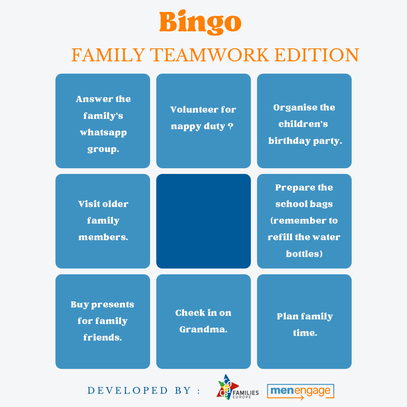### FAMILY TEAMWORK EDITION

| <b>Answer the</b><br>family's<br>whatsapp<br>group. | <b>Volunteer for</b><br>nappy duty? | <b>Organise the</b><br>children's<br>birthday party.                                     |
|-----------------------------------------------------|-------------------------------------|------------------------------------------------------------------------------------------|
| <b>Visit older</b><br>family<br>members.            |                                     | <b>Prepare the</b><br>school bags<br><b>(remember to</b><br>refill the water<br>bottles) |
| Buy presents<br>for family<br>friends.              | <b>Check in on</b><br>Grandma.      | <b>Plan family</b><br>time.                                                              |
|                                                     |                                     |                                                                                          |



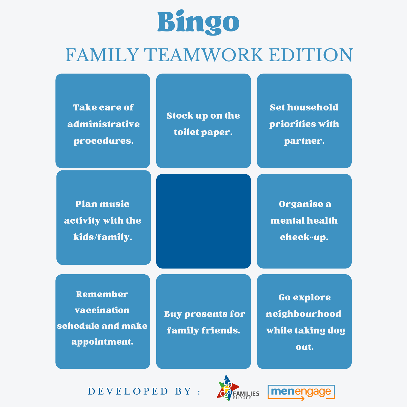#### FAMILY TEAMWORK EDITION

| <b>Take care of</b><br>administrative<br>procedures.         | <b>Stock up on the</b><br>toilet paper.    | <b>Set household</b><br>priorities with<br>partner.            |
|--------------------------------------------------------------|--------------------------------------------|----------------------------------------------------------------|
| <b>Plan music</b><br>activity with the<br>kids/family.       |                                            | Organise a<br>mental health<br>check-up.                       |
| Remember<br>vaccination<br>schedule and make<br>appointment. | <b>Buy presents for</b><br>family friends. | <b>Go explore</b><br>neighbourhood<br>while taking dog<br>out. |



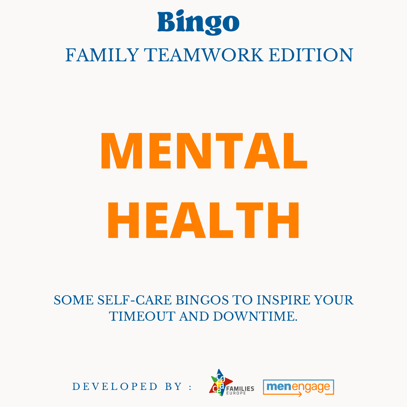

# **MENTAL HEALTH**

#### SOME SELF-CARE BINGOS TO INSPIRE YOUR TIMEOUT AND DOWNTIME.

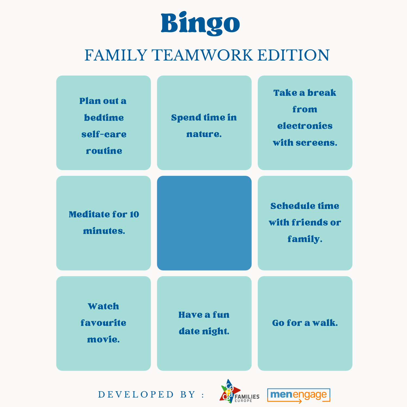



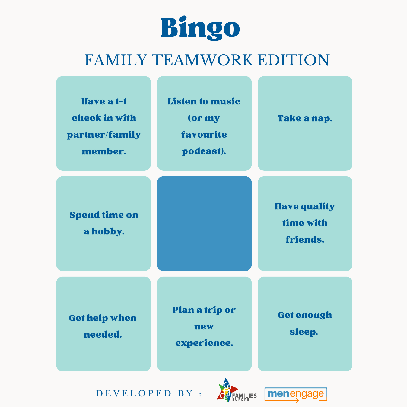



D E V E L O P E D B Y :



menengage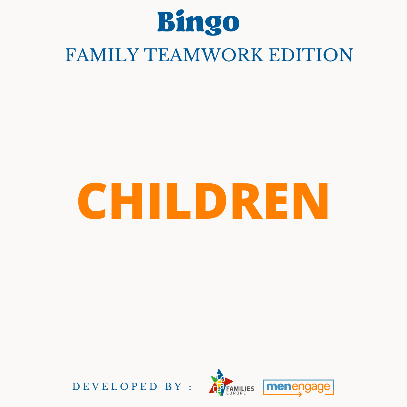

# **CHILDREN**



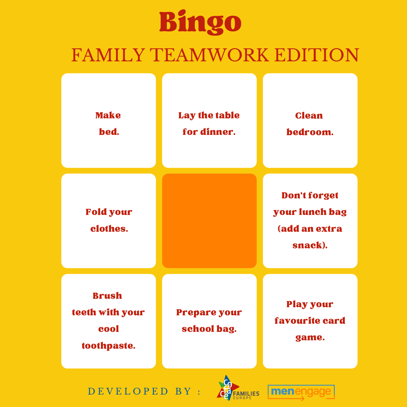### FAMILY TEAMWORK EDITION





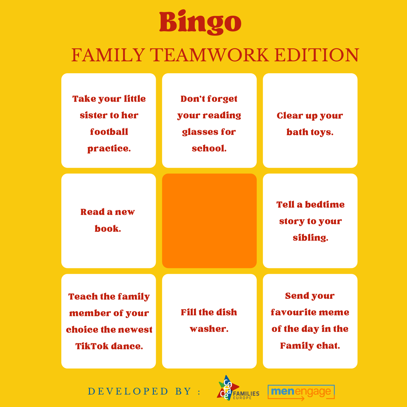### FAMILY TEAMWORK EDITION



#### DEVELOPED BY :



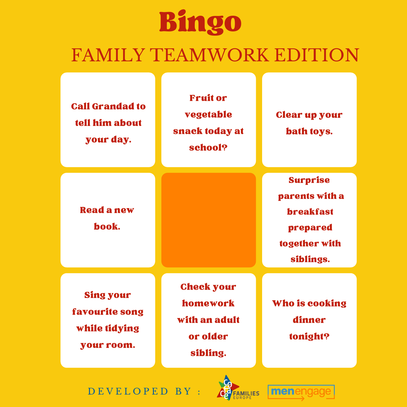### FAMILY TEAMWORK EDITION



DEVELOPED BY :



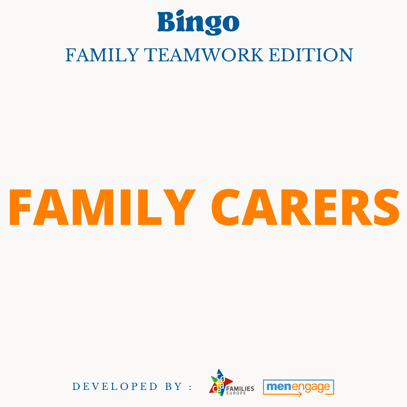

# **FAMILY CARERS**



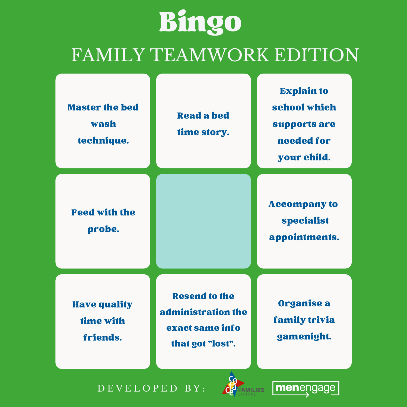### FAMILY TEAMWORK EDITION





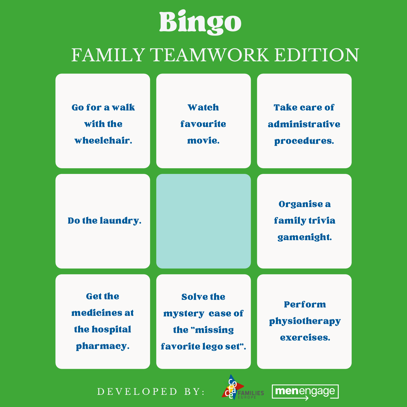### FAMILY TEAMWORK EDITION





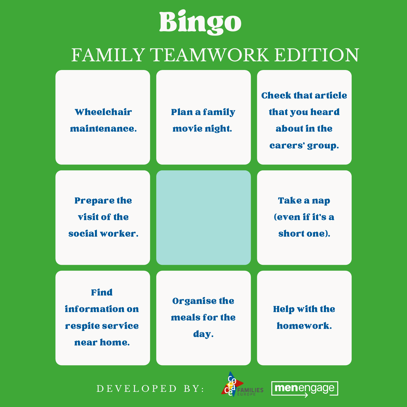### FAMILY TEAMWORK EDITION



D E V E L O P E D B Y :



menengage